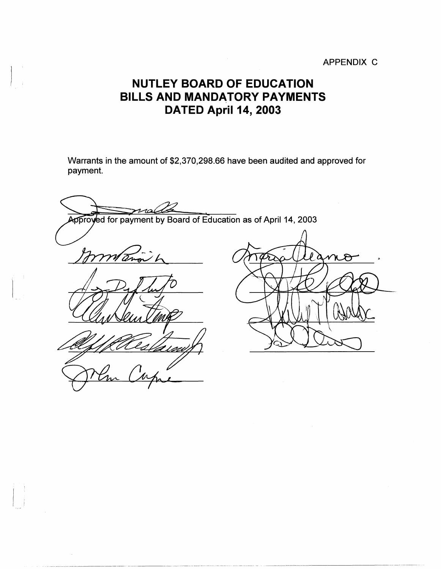## APPENDIX C

## **NUTLEY BOARD OF EDUCATION BILLS AND MANDATORY PAYMENTS DATED April 14, 2003**

Warrants in the amount of \$2,370,298.66 have been audited and approved for payment.

rral Approyed for payment by Board of Education as of April 14, 2003 mitano h  $\cal R$ χ

. ----------- ~-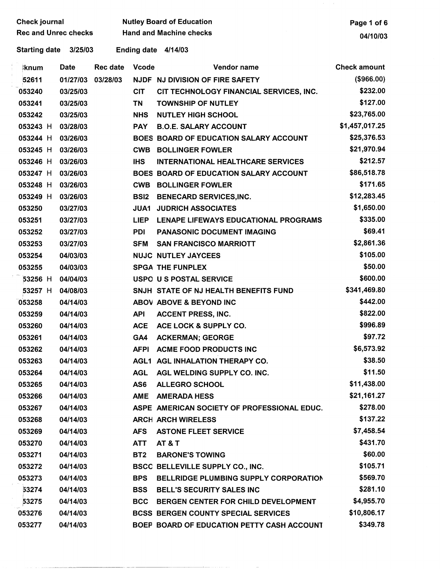| <b>Check journal</b>            |             |          |                 | <b>Nutley Board of Education</b> | Page 1 of 6                                 |                     |
|---------------------------------|-------------|----------|-----------------|----------------------------------|---------------------------------------------|---------------------|
| <b>Rec and Unrec checks</b>     |             |          |                 | <b>Hand and Machine checks</b>   | 04/10/03                                    |                     |
| <b>Starting date</b><br>3/25/03 |             |          |                 |                                  | Ending date 4/14/03                         |                     |
| ∤knum                           | <b>Date</b> |          | <b>Rec date</b> | <b>Vcode</b>                     | Vendor name                                 | <b>Check amount</b> |
| 52611                           |             | 01/27/03 | 03/28/03        |                                  | NJDF NJ DIVISION OF FIRE SAFETY             | (\$966.00)          |
| 053240                          |             | 03/25/03 |                 | <b>CIT</b>                       | CIT TECHNOLOGY FINANCIAL SERVICES, INC.     | \$232.00            |
| 053241                          |             | 03/25/03 |                 | <b>TN</b>                        | <b>TOWNSHIP OF NUTLEY</b>                   | \$127.00            |
| 053242                          |             | 03/25/03 |                 | <b>NHS</b>                       | <b>NUTLEY HIGH SCHOOL</b>                   | \$23,765.00         |
| 053243 H                        |             | 03/28/03 |                 | <b>PAY</b>                       | <b>B.O.E. SALARY ACCOUNT</b>                | \$1,457,017.25      |
| 053244 H                        |             | 03/26/03 |                 |                                  | BOES BOARD OF EDUCATION SALARY ACCOUNT      | \$25,376.53         |
| 053245 H                        |             | 03/26/03 |                 | <b>CWB</b>                       | <b>BOLLINGER FOWLER</b>                     | \$21,970.94         |
| 053246 H                        |             | 03/26/03 |                 | <b>IHS</b>                       | <b>INTERNATIONAL HEALTHCARE SERVICES</b>    | \$212.57            |
| 053247 H                        |             | 03/26/03 |                 |                                  | BOES BOARD OF EDUCATION SALARY ACCOUNT      | \$86,518.78         |
| 053248 H                        |             | 03/26/03 |                 | <b>CWB</b>                       | <b>BOLLINGER FOWLER</b>                     | \$171.65            |
| 053249 H                        |             | 03/26/03 |                 | <b>BSI2</b>                      | <b>BENECARD SERVICES, INC.</b>              | \$12,283.45         |
| 053250                          |             | 03/27/03 |                 | <b>JUA1</b>                      | <b>JUDRICH ASSOCIATES</b>                   | \$1,650.00          |
| 053251                          |             | 03/27/03 |                 | <b>LIEP</b>                      | LENAPE LIFEWAYS EDUCATIONAL PROGRAMS        | \$335.00            |
| 053252                          |             | 03/27/03 |                 | <b>PDI</b>                       | PANASONIC DOCUMENT IMAGING                  | \$69.41             |
| 053253                          |             | 03/27/03 |                 | <b>SFM</b>                       | <b>SAN FRANCISCO MARRIOTT</b>               | \$2,861.36          |
| 053254                          |             | 04/03/03 |                 |                                  | <b>NUJC NUTLEY JAYCEES</b>                  | \$105.00            |
| 053255                          |             | 04/03/03 |                 |                                  | <b>SPGA THE FUNPLEX</b>                     | \$50.00             |
| 53256 H                         |             | 04/04/03 |                 |                                  | USPO U S POSTAL SERVICE                     | \$600.00            |
| 53257 H                         |             | 04/08/03 |                 |                                  | SNJH STATE OF NJ HEALTH BENEFITS FUND       | \$341,469.80        |
| 053258                          |             | 04/14/03 |                 |                                  | ABOV ABOVE & BEYOND INC                     | \$442.00            |
| 053259                          |             | 04/14/03 |                 | <b>API</b>                       | <b>ACCENT PRESS, INC.</b>                   | \$822.00            |
| 053260                          |             | 04/14/03 |                 | <b>ACE</b>                       | ACE LOCK & SUPPLY CO.                       | \$996.89            |
| 053261                          |             | 04/14/03 |                 |                                  | GA4 ACKERMAN; GEORGE                        | \$97.72             |
| 053262                          |             | 04/14/03 |                 |                                  | AFPI ACME FOOD PRODUCTS INC                 | \$6,573.92          |
| 053263                          |             | 04/14/03 |                 |                                  | AGL1 AGL INHALATION THERAPY CO.             | \$38.50             |
| 053264                          |             | 04/14/03 |                 | <b>AGL</b>                       | AGL WELDING SUPPLY CO. INC.                 | \$11.50             |
| 053265                          |             | 04/14/03 |                 | AS6                              | <b>ALLEGRO SCHOOL</b>                       | \$11,438.00         |
| 053266                          |             | 04/14/03 |                 | <b>AME</b>                       | <b>AMERADA HESS</b>                         | \$21,161.27         |
| 053267                          |             | 04/14/03 |                 |                                  | ASPE AMERICAN SOCIETY OF PROFESSIONAL EDUC. | \$278.00            |
| 053268                          |             | 04/14/03 |                 |                                  | <b>ARCH ARCH WIRELESS</b>                   | \$137.22            |
| 053269                          |             | 04/14/03 |                 | <b>AFS</b>                       | <b>ASTONE FLEET SERVICE</b>                 | \$7,458.54          |
| 053270                          |             | 04/14/03 |                 | <b>ATT</b>                       | <b>AT &amp; T</b>                           | \$431.70            |
| 053271                          |             | 04/14/03 |                 | BT <sub>2</sub>                  | <b>BARONE'S TOWING</b>                      | \$60.00             |
| 053272                          |             | 04/14/03 |                 |                                  | <b>BSCC BELLEVILLE SUPPLY CO., INC.</b>     | \$105.71            |
| 053273                          |             | 04/14/03 |                 | <b>BPS</b>                       | BELLRIDGE PLUMBING SUPPLY CORPORATION       | \$569.70            |
| 53274                           |             | 04/14/03 |                 | <b>BSS</b>                       | <b>BELL'S SECURITY SALES INC</b>            | \$281.10            |
| 53275                           |             | 04/14/03 |                 | <b>BCC</b>                       | BERGEN CENTER FOR CHILD DEVELOPMENT         | \$4,955.70          |
| 053276                          |             | 04/14/03 |                 |                                  | <b>BCSS BERGEN COUNTY SPECIAL SERVICES</b>  | \$10,806.17         |
| 053277                          |             | 04/14/03 |                 |                                  | BOEP BOARD OF EDUCATION PETTY CASH ACCOUNT  | \$349.78            |

··-·-···----····-·- . -----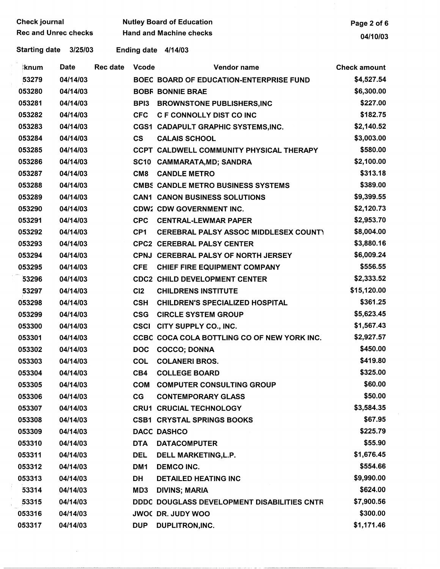| Check journal<br><b>Rec and Unrec checks</b> |             |          |                  | <b>Nutley Board of Education</b><br><b>Hand and Machine checks</b> | Page 2 of 6         |
|----------------------------------------------|-------------|----------|------------------|--------------------------------------------------------------------|---------------------|
|                                              |             |          |                  |                                                                    | 04/10/03            |
| <b>Starting date</b>                         | 3/25/03     |          |                  | Ending date 4/14/03                                                |                     |
| ∣knum                                        | <b>Date</b> | Rec date | <b>Vcode</b>     | Vendor name                                                        | <b>Check amount</b> |
| 53279                                        | 04/14/03    |          |                  | BOEC BOARD OF EDUCATION-ENTERPRISE FUND                            | \$4,527.54          |
| 053280                                       | 04/14/03    |          |                  | <b>BOBF BONNIE BRAE</b>                                            | \$6,300.00          |
| 053281                                       | 04/14/03    |          | BP <sub>13</sub> | <b>BROWNSTONE PUBLISHERS, INC</b>                                  | \$227.00            |
| 053282                                       | 04/14/03    |          | <b>CFC</b>       | <b>C F CONNOLLY DIST CO INC</b>                                    | \$182.75            |
| 053283                                       | 04/14/03    |          |                  | CGS1 CADAPULT GRAPHIC SYSTEMS, INC.                                | \$2,140.52          |
| 053284                                       | 04/14/03    |          | <b>CS</b>        | <b>CALAIS SCHOOL</b>                                               | \$3,003.00          |
| 053285                                       | 04/14/03    |          |                  | CCPT CALDWELL COMMUNITY PHYSICAL THERAPY                           | \$580.00            |
| 053286                                       | 04/14/03    |          |                  | SC10 CAMMARATA, MD; SANDRA                                         | \$2,100.00          |
| 053287                                       | 04/14/03    |          | CM <sub>8</sub>  | <b>CANDLE METRO</b>                                                | \$313.18            |
| 053288                                       | 04/14/03    |          |                  | <b>CMBS CANDLE METRO BUSINESS SYSTEMS</b>                          | \$389.00            |
| 053289                                       | 04/14/03    |          |                  | <b>CAN1 CANON BUSINESS SOLUTIONS</b>                               | \$9,399.55          |
| 053290                                       | 04/14/03    |          |                  | <b>CDW2 CDW GOVERNMENT INC.</b>                                    | \$2,120.73          |
| 053291                                       | 04/14/03    |          | <b>CPC</b>       | <b>CENTRAL-LEWMAR PAPER</b>                                        | \$2,953.70          |
| 053292                                       | 04/14/03    |          | CP <sub>1</sub>  | <b>CEREBRAL PALSY ASSOC MIDDLESEX COUNT)</b>                       | \$8,004.00          |
| 053293                                       | 04/14/03    |          |                  | <b>CPC2 CEREBRAL PALSY CENTER</b>                                  | \$3,880.16          |
| 053294                                       | 04/14/03    |          |                  | <b>CPNJ CEREBRAL PALSY OF NORTH JERSEY</b>                         | \$6,009.24          |
| 053295                                       | 04/14/03    |          | <b>CFE</b>       | <b>CHIEF FIRE EQUIPMENT COMPANY</b>                                | \$556.55            |
| 53296                                        | 04/14/03    |          |                  | <b>CDC2 CHILD DEVELOPMENT CENTER</b>                               | \$2,333.52          |
| 53297                                        | 04/14/03    |          | CI2              | <b>CHILDRENS INSTITUTE</b>                                         | \$15,120.00         |
| 053298                                       | 04/14/03    |          | <b>CSH</b>       | <b>CHILDREN'S SPECIALIZED HOSPITAL</b>                             | \$361.25            |
| 053299                                       | 04/14/03    |          | <b>CSG</b>       | <b>CIRCLE SYSTEM GROUP</b>                                         | \$5,623.45          |
| 053300                                       | 04/14/03    |          |                  | CSCI CITY SUPPLY CO., INC.                                         | \$1,567.43          |
| 053301                                       | 04/14/03    |          |                  | CCBC COCA COLA BOTTLING CO OF NEW YORK INC.                        | \$2,927.57          |
| 053302                                       | 04/14/03    |          | <b>DOC</b>       | <b>COCCO; DONNA</b>                                                | \$450.00            |
| 053303                                       | 04/14/03    |          | <b>COL</b>       | <b>COLANERI BROS.</b>                                              | \$419.80            |
| 053304                                       | 04/14/03    |          | CB4              | <b>COLLEGE BOARD</b>                                               | \$325.00            |
| 053305                                       | 04/14/03    |          | <b>COM</b>       | <b>COMPUTER CONSULTING GROUP</b>                                   | \$60.00             |
| 053306                                       | 04/14/03    |          | CG               | <b>CONTEMPORARY GLASS</b>                                          | \$50.00             |
| 053307                                       | 04/14/03    |          |                  | <b>CRU1 CRUCIAL TECHNOLOGY</b>                                     | \$3,584.35          |
| 053308                                       | 04/14/03    |          |                  | <b>CSB1 CRYSTAL SPRINGS BOOKS</b>                                  | \$67.95             |
| 053309                                       | 04/14/03    |          |                  | <b>DACC DASHCO</b>                                                 | \$225.79            |
| 053310                                       | 04/14/03    |          | <b>DTA</b>       | <b>DATACOMPUTER</b>                                                | \$55.90             |
| 053311                                       | 04/14/03    |          | <b>DEL</b>       | DELL MARKETING, L.P.                                               | \$1,676.45          |
| 053312                                       | 04/14/03    |          | DM1              | <b>DEMCO INC.</b>                                                  | \$554.66            |
| 053313                                       | 04/14/03    |          | DH               | <b>DETAILED HEATING INC</b>                                        | \$9,990.00          |
| 53314                                        | 04/14/03    |          | MD3              | <b>DIVINS; MARIA</b>                                               | \$624.00            |
| 53315                                        | 04/14/03    |          |                  | DDDC DOUGLASS DEVELOPMENT DISABILITIES CNTR                        | \$7,900.56          |
| 053316                                       | 04/14/03    |          |                  | <b>JWOC DR. JUDY WOO</b>                                           | \$300.00            |
| 053317                                       | 04/14/03    |          | <b>DUP</b>       | DUPLITRON, INC.                                                    | \$1,171.46          |

 $\label{eq:2.1} \frac{1}{\sqrt{2}}\int_{\mathbb{R}^3}\frac{1}{\sqrt{2}}\left(\frac{1}{\sqrt{2}}\right)^2\frac{1}{\sqrt{2}}\left(\frac{1}{\sqrt{2}}\right)^2\frac{1}{\sqrt{2}}\left(\frac{1}{\sqrt{2}}\right)^2\frac{1}{\sqrt{2}}\left(\frac{1}{\sqrt{2}}\right)^2.$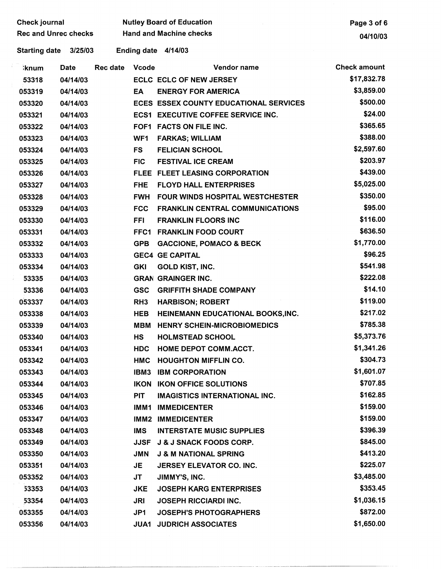| <b>Check journal</b>        |             |                 |                 | <b>Nutley Board of Education</b>              | Page 3 of 6         |
|-----------------------------|-------------|-----------------|-----------------|-----------------------------------------------|---------------------|
| <b>Rec and Unrec checks</b> |             |                 |                 | <b>Hand and Machine checks</b>                | 04/10/03            |
| <b>Starting date</b>        | 3/25/03     |                 |                 | Ending date 4/14/03                           |                     |
| <b>knum</b>                 | <b>Date</b> | <b>Rec date</b> | <b>Vcode</b>    | Vendor name                                   | <b>Check amount</b> |
| 53318                       | 04/14/03    |                 |                 | <b>ECLC ECLC OF NEW JERSEY</b>                | \$17,832.78         |
| 053319                      | 04/14/03    |                 | EA              | <b>ENERGY FOR AMERICA</b>                     | \$3,859.00          |
| 053320                      | 04/14/03    |                 |                 | <b>ECES ESSEX COUNTY EDUCATIONAL SERVICES</b> | \$500.00            |
| 053321                      | 04/14/03    |                 |                 | <b>ECS1 EXECUTIVE COFFEE SERVICE INC.</b>     | \$24.00             |
| 053322                      | 04/14/03    |                 |                 | FOF1 FACTS ON FILE INC.                       | \$365.65            |
| 053323                      | 04/14/03    |                 | WF1             | <b>FARKAS; WILLIAM</b>                        | \$388.00            |
| 053324                      | 04/14/03    |                 | <b>FS</b>       | <b>FELICIAN SCHOOL</b>                        | \$2,597.60          |
| 053325                      | 04/14/03    |                 | <b>FIC</b>      | <b>FESTIVAL ICE CREAM</b>                     | \$203.97            |
| 053326                      | 04/14/03    |                 |                 | FLEE FLEET LEASING CORPORATION                | \$439.00            |
| 053327                      | 04/14/03    |                 | <b>FHE</b>      | <b>FLOYD HALL ENTERPRISES</b>                 | \$5,025.00          |
| 053328                      | 04/14/03    |                 | <b>FWH</b>      | <b>FOUR WINDS HOSPITAL WESTCHESTER</b>        | \$350.00            |
| 053329                      | 04/14/03    |                 | <b>FCC</b>      | <b>FRANKLIN CENTRAL COMMUNICATIONS</b>        | \$95.00             |
| 053330                      | 04/14/03    |                 | FFI.            | <b>FRANKLIN FLOORS INC</b>                    | \$116.00            |
| 053331                      | 04/14/03    |                 | FFC1            | <b>FRANKLIN FOOD COURT</b>                    | \$636.50            |
| 053332                      | 04/14/03    |                 | <b>GPB</b>      | <b>GACCIONE, POMACO &amp; BECK</b>            | \$1,770.00          |
| 053333                      | 04/14/03    |                 |                 | <b>GEC4 GE CAPITAL</b>                        | \$96.25             |
| 053334                      | 04/14/03    |                 | <b>GKI</b>      | <b>GOLD KIST, INC.</b>                        | \$541.98            |
| 53335                       | 04/14/03    |                 |                 | <b>GRAN GRAINGER INC.</b>                     | \$222.08            |
| 53336                       | 04/14/03    |                 | <b>GSC</b>      | <b>GRIFFITH SHADE COMPANY</b>                 | \$14.10             |
| 053337                      | 04/14/03    |                 | RH <sub>3</sub> | <b>HARBISON; ROBERT</b>                       | \$119.00            |
| 053338                      | 04/14/03    |                 | <b>HEB</b>      | HEINEMANN EDUCATIONAL BOOKS, INC.             | \$217.02            |
| 053339                      | 04/14/03    |                 | MBM             | <b>HENRY SCHEIN-MICROBIOMEDICS</b>            | \$785.38            |
| 053340                      | 04/14/03    |                 | <b>HS</b>       | <b>HOLMSTEAD SCHOOL</b>                       | \$5,373.76          |
| 053341                      | 04/14/03    |                 | <b>HDC</b>      | <b>HOME DEPOT COMM.ACCT.</b>                  | \$1,341.26          |
| 053342                      | 04/14/03    |                 | <b>HMC</b>      | <b>HOUGHTON MIFFLIN CO.</b>                   | \$304.73            |
| 053343                      | 04/14/03    |                 | IBM3            | <b>IBM CORPORATION</b>                        | \$1,601.07          |
| 053344                      | 04/14/03    |                 | <b>IKON</b>     | <b>IKON OFFICE SOLUTIONS</b>                  | \$707.85            |
| 053345                      | 04/14/03    |                 | <b>PIT</b>      | <b>IMAGISTICS INTERNATIONAL INC.</b>          | \$162.85            |
| 053346                      | 04/14/03    |                 | IMM1            | <b>IMMEDICENTER</b>                           | \$159.00            |
| 053347                      | 04/14/03    |                 |                 | <b>IMM2 IMMEDICENTER</b>                      | \$159.00            |
| 053348                      | 04/14/03    |                 | <b>IMS</b>      | <b>INTERSTATE MUSIC SUPPLIES</b>              | \$396.39            |
| 053349                      | 04/14/03    |                 | <b>JJSF</b>     | <b>J &amp; J SNACK FOODS CORP.</b>            | \$845.00            |
| 053350                      | 04/14/03    |                 | <b>JMN</b>      | <b>J &amp; M NATIONAL SPRING</b>              | \$413.20            |
| 053351                      | 04/14/03    |                 | JE              | <b>JERSEY ELEVATOR CO. INC.</b>               | \$225.07            |
| 053352                      | 04/14/03    |                 | <b>JT</b>       | JIMMY'S, INC.                                 | \$3,485.00          |
| 53353                       | 04/14/03    |                 | <b>JKE</b>      | <b>JOSEPH KARG ENTERPRISES</b>                | \$353.45            |
| 53354                       | 04/14/03    |                 | JRI             | <b>JOSEPH RICCIARDI INC.</b>                  | \$1,036.15          |
| 053355                      | 04/14/03    |                 | JP1             | <b>JOSEPH'S PHOTOGRAPHERS</b>                 | \$872.00            |
| 053356                      | 04/14/03    |                 | <b>JUA1</b>     | <b>JUDRICH ASSOCIATES</b>                     | \$1,650.00          |

-----------~----------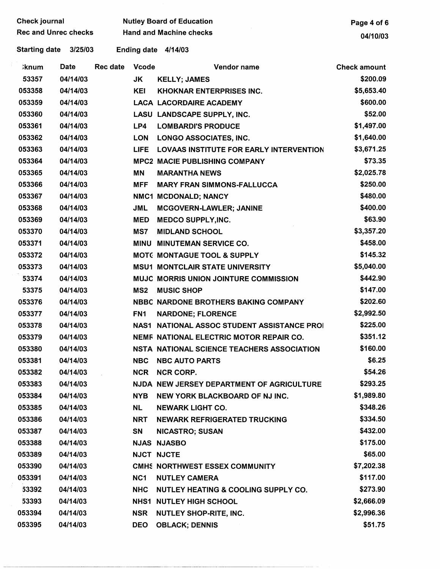|  | <b>Check journal</b><br><b>Rec and Unrec checks</b> |             |                 | <b>Nutley Board of Education</b> | Page 4 of 6                                        |                     |
|--|-----------------------------------------------------|-------------|-----------------|----------------------------------|----------------------------------------------------|---------------------|
|  |                                                     |             |                 | <b>Hand and Machine checks</b>   | 04/10/03                                           |                     |
|  | <b>Starting date</b>                                | 3/25/03     |                 |                                  | Ending date 4/14/03                                |                     |
|  | <b>;knum</b>                                        | <b>Date</b> | <b>Rec date</b> | <b>Vcode</b>                     | Vendor name                                        | <b>Check amount</b> |
|  | 53357                                               | 04/14/03    |                 | JK                               | <b>KELLY; JAMES</b>                                | \$200.09            |
|  | 053358                                              | 04/14/03    |                 | <b>KEI</b>                       | KHOKNAR ENTERPRISES INC.                           | \$5,653.40          |
|  | 053359                                              | 04/14/03    |                 |                                  | <b>LACA LACORDAIRE ACADEMY</b>                     | \$600.00            |
|  | 053360                                              | 04/14/03    |                 |                                  | LASU LANDSCAPE SUPPLY, INC.                        | \$52.00             |
|  | 053361                                              | 04/14/03    |                 | LP4                              | <b>LOMBARDI'S PRODUCE</b>                          | \$1,497.00          |
|  | 053362                                              | 04/14/03    |                 | <b>LON</b>                       | LONGO ASSOCIATES, INC.                             | \$1,640.00          |
|  | 053363                                              | 04/14/03    |                 | <b>LIFE</b>                      | <b>LOVAAS INSTITUTE FOR EARLY INTERVENTION</b>     | \$3,671.25          |
|  | 053364                                              | 04/14/03    |                 |                                  | <b>MPC2 MACIE PUBLISHING COMPANY</b>               | \$73.35             |
|  | 053365                                              | 04/14/03    |                 | <b>MN</b>                        | <b>MARANTHA NEWS</b>                               | \$2,025.78          |
|  | 053366                                              | 04/14/03    |                 | <b>MFF</b>                       | <b>MARY FRAN SIMMONS-FALLUCCA</b>                  | \$250.00            |
|  | 053367                                              | 04/14/03    |                 |                                  | NMC1 MCDONALD; NANCY                               | \$480.00            |
|  | 053368                                              | 04/14/03    |                 | <b>JML</b>                       | <b>MCGOVERN-LAWLER; JANINE</b>                     | \$400.00            |
|  | 053369                                              | 04/14/03    |                 | <b>MED</b>                       | <b>MEDCO SUPPLY, INC.</b>                          | \$63.90             |
|  | 053370                                              | 04/14/03    |                 | MS7                              | <b>MIDLAND SCHOOL</b>                              | \$3,357.20          |
|  | 053371                                              | 04/14/03    |                 | <b>MINU</b>                      | <b>MINUTEMAN SERVICE CO.</b>                       | \$458.00            |
|  | 053372                                              | 04/14/03    |                 |                                  | <b>MOTC MONTAGUE TOOL &amp; SUPPLY</b>             | \$145.32            |
|  | 053373                                              | 04/14/03    |                 |                                  | <b>MSU1 MONTCLAIR STATE UNIVERSITY</b>             | \$5,040.00          |
|  | 53374                                               | 04/14/03    |                 |                                  | MUJC MORRIS UNION JOINTURE COMMISSION              | \$442.90            |
|  | 53375                                               | 04/14/03    |                 | MS <sub>2</sub>                  | <b>MUSIC SHOP</b>                                  | \$147.00            |
|  | 053376                                              | 04/14/03    |                 |                                  | <b>NBBC NARDONE BROTHERS BAKING COMPANY</b>        | \$202.60            |
|  | 053377                                              | 04/14/03    |                 | FN <sub>1</sub>                  | <b>NARDONE; FLORENCE</b>                           | \$2,992.50          |
|  | 053378                                              | 04/14/03    |                 |                                  | <b>NAS1 NATIONAL ASSOC STUDENT ASSISTANCE PROI</b> | \$225.00            |
|  | 053379                                              | 04/14/03    |                 |                                  | NEMF NATIONAL ELECTRIC MOTOR REPAIR CO.            | \$351.12            |
|  | 053380                                              | 04/14/03    |                 |                                  | NSTA NATIONAL SCIENCE TEACHERS ASSOCIATION         | \$160.00            |
|  | 053381                                              | 04/14/03    |                 | <b>NBC</b>                       | <b>NBC AUTO PARTS</b>                              | \$6.25              |
|  | 053382                                              | 04/14/03    |                 | <b>NCR</b>                       | <b>NCR CORP.</b>                                   | \$54.26             |
|  | 053383                                              | 04/14/03    |                 |                                  | NJDA NEW JERSEY DEPARTMENT OF AGRICULTURE          | \$293.25            |
|  | 053384                                              | 04/14/03    |                 | <b>NYB</b>                       | NEW YORK BLACKBOARD OF NJ INC.                     | \$1,989.80          |
|  | 053385                                              | 04/14/03    |                 | <b>NL</b>                        | <b>NEWARK LIGHT CO.</b>                            | \$348.26            |
|  | 053386                                              | 04/14/03    |                 | NRT                              | <b>NEWARK REFRIGERATED TRUCKING</b>                | \$334.50            |
|  | 053387                                              | 04/14/03    |                 | <b>SN</b>                        | <b>NICASTRO; SUSAN</b>                             | \$432.00            |
|  | 053388                                              | 04/14/03    |                 |                                  | <b>NJAS NJASBO</b>                                 | \$175.00            |
|  | 053389                                              | 04/14/03    |                 |                                  | <b>NJCT NJCTE</b>                                  | \$65.00             |
|  | 053390                                              | 04/14/03    |                 |                                  | <b>CMHS NORTHWEST ESSEX COMMUNITY</b>              | \$7,202.38          |
|  | 053391                                              | 04/14/03    |                 | NC1                              | <b>NUTLEY CAMERA</b>                               | \$117.00            |
|  | 53392                                               | 04/14/03    |                 | <b>NHC</b>                       | <b>NUTLEY HEATING &amp; COOLING SUPPLY CO.</b>     | \$273.90            |
|  | 53393                                               | 04/14/03    |                 |                                  | <b>NHS1 NUTLEY HIGH SCHOOL</b>                     | \$2,666.09          |
|  | 053394                                              | 04/14/03    |                 | <b>NSR</b>                       | <b>NUTLEY SHOP-RITE, INC.</b>                      | \$2,996.36          |
|  | 053395                                              | 04/14/03    |                 | <b>DEO</b>                       | <b>OBLACK; DENNIS</b>                              | \$51.75             |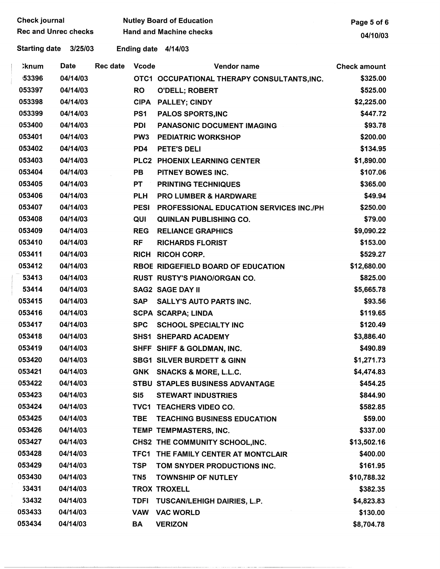| <b>Check journal</b>        |          |                 | <b>Nutley Board of Education</b> | Page 5 of 6                                 |                     |
|-----------------------------|----------|-----------------|----------------------------------|---------------------------------------------|---------------------|
| <b>Rec and Unrec checks</b> |          |                 | <b>Hand and Machine checks</b>   | 04/10/03                                    |                     |
| Starting date 3/25/03       |          |                 |                                  | Ending date 4/14/03                         |                     |
| <b>`knum</b>                | Date     | <b>Rec date</b> | <b>Vcode</b>                     | Vendor name                                 | <b>Check amount</b> |
| 53396                       | 04/14/03 |                 |                                  | OTC1 OCCUPATIONAL THERAPY CONSULTANTS, INC. | \$325.00            |
| 053397                      | 04/14/03 |                 | <b>RO</b>                        | <b>O'DELL; ROBERT</b>                       | \$525.00            |
| 053398                      | 04/14/03 |                 | <b>CIPA</b>                      | <b>PALLEY; CINDY</b>                        | \$2,225.00          |
| 053399                      | 04/14/03 |                 | PS <sub>1</sub>                  | <b>PALOS SPORTS, INC</b>                    | \$447.72            |
| 053400                      | 04/14/03 |                 | PDI                              | <b>PANASONIC DOCUMENT IMAGING</b>           | \$93.78             |
| 053401                      | 04/14/03 |                 | PW <sub>3</sub>                  | <b>PEDIATRIC WORKSHOP</b>                   | \$200.00            |
| 053402                      | 04/14/03 |                 | PD4                              | <b>PETE'S DELI</b>                          | \$134.95            |
| 053403                      | 04/14/03 |                 |                                  | PLC2 PHOENIX LEARNING CENTER                | \$1,890.00          |
| 053404                      | 04/14/03 |                 | PB                               | PITNEY BOWES INC.                           | \$107.06            |
| 053405                      | 04/14/03 |                 | PT                               | <b>PRINTING TECHNIQUES</b>                  | \$365.00            |
| 053406                      | 04/14/03 |                 | <b>PLH</b>                       | <b>PRO LUMBER &amp; HARDWARE</b>            | \$49.94             |
| 053407                      | 04/14/03 |                 | <b>PESI</b>                      | PROFESSIONAL EDUCATION SERVICES INC./PH     | \$250.00            |
| 053408                      | 04/14/03 |                 | QUI                              | <b>QUINLAN PUBLISHING CO.</b>               | \$79.00             |
| 053409                      | 04/14/03 |                 | <b>REG</b>                       | <b>RELIANCE GRAPHICS</b>                    | \$9,090.22          |
| 053410                      | 04/14/03 |                 | <b>RF</b>                        | <b>RICHARDS FLORIST</b>                     | \$153.00            |
| 053411                      | 04/14/03 |                 |                                  | <b>RICH RICOH CORP.</b>                     | \$529.27            |
| 053412                      | 04/14/03 |                 |                                  | RBOE RIDGEFIELD BOARD OF EDUCATION          | \$12,680.00         |
| 53413                       | 04/14/03 |                 |                                  | RUST RUSTY'S PIANO/ORGAN CO.                | \$825.00            |
| 53414                       | 04/14/03 |                 |                                  | <b>SAG2 SAGE DAY II</b>                     | \$5,665.78          |
| 053415                      | 04/14/03 |                 | <b>SAP</b>                       | <b>SALLY'S AUTO PARTS INC.</b>              | \$93.56             |
| 053416                      | 04/14/03 |                 |                                  | <b>SCPA SCARPA; LINDA</b>                   | \$119.65            |
| 053417                      | 04/14/03 |                 | <b>SPC</b>                       | <b>SCHOOL SPECIALTY INC</b>                 | \$120.49            |
| 053418                      | 04/14/03 |                 |                                  | SHS1 SHEPARD ACADEMY                        | \$3,886.40          |
| 053419                      | 04/14/03 |                 |                                  | SHFF SHIFF & GOLDMAN, INC.                  | \$490.89            |
| 053420                      | 04/14/03 |                 |                                  | <b>SBG1 SILVER BURDETT &amp; GINN</b>       | \$1,271.73          |
| 053421                      | 04/14/03 |                 |                                  | GNK SNACKS & MORE, L.L.C.                   | \$4,474.83          |
| 053422                      | 04/14/03 |                 |                                  | STBU STAPLES BUSINESS ADVANTAGE             | \$454.25            |
| 053423                      | 04/14/03 |                 | SI <sub>5</sub>                  | <b>STEWART INDUSTRIES</b>                   | \$844.90            |
| 053424                      | 04/14/03 |                 |                                  | TVC1 TEACHERS VIDEO CO.                     | \$582.85            |
| 053425                      | 04/14/03 |                 | <b>TBE</b>                       | <b>TEACHING BUSINESS EDUCATION</b>          | \$59.00             |
| 053426                      | 04/14/03 |                 |                                  | TEMP TEMPMASTERS, INC.                      | \$337.00            |
| 053427                      | 04/14/03 |                 |                                  | CHS2 THE COMMUNITY SCHOOL, INC.             | \$13,502.16         |
| 053428                      | 04/14/03 |                 |                                  | TFC1 THE FAMILY CENTER AT MONTCLAIR         | \$400.00            |
| 053429                      | 04/14/03 |                 | <b>TSP</b>                       | TOM SNYDER PRODUCTIONS INC.                 | \$161.95            |
| 053430                      | 04/14/03 |                 | TN <sub>5</sub>                  | <b>TOWNSHIP OF NUTLEY</b>                   | \$10,788.32         |
| 53431                       | 04/14/03 |                 |                                  | <b>TROX TROXELL</b>                         | \$382.35            |
| 53432                       | 04/14/03 |                 | <b>TDFI</b>                      | TUSCAN/LEHIGH DAIRIES, L.P.                 | \$4,823.83          |
| 053433                      | 04/14/03 |                 | <b>VAW</b>                       | <b>VAC WORLD</b>                            | \$130.00            |
| 053434                      | 04/14/03 |                 | BA                               | <b>VERIZON</b>                              | \$8,704.78          |

- - --- -- ·---···-· ·-·-----------